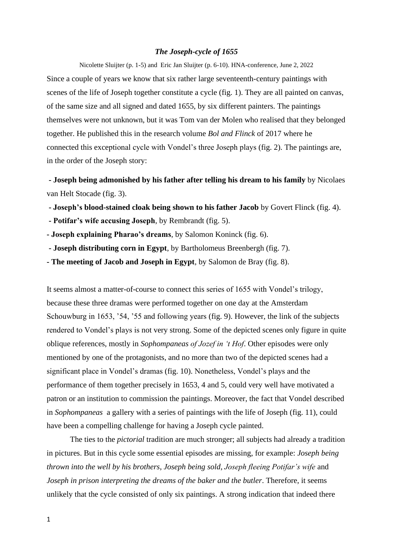## *The Joseph-cycle of 1655*

Nicolette Sluijter (p. 1-5) and Eric Jan Sluijter (p. 6-10). HNA-conference, June 2, 2022 Since a couple of years we know that six rather large seventeenth-century paintings with scenes of the life of Joseph together constitute a cycle (fig. 1). They are all painted on canvas, of the same size and all signed and dated 1655, by six different painters. The paintings themselves were not unknown, but it was Tom van der Molen who realised that they belonged together. He published this in the research volume *Bol and Flinck* of 2017 where he connected this exceptional cycle with Vondel's three Joseph plays (fig. 2). The paintings are, in the order of the Joseph story:

**- Joseph being admonished by his father after telling his dream to his family** by Nicolaes van Helt Stocade (fig. 3).

- **- Joseph's blood-stained cloak being shown to his father Jacob** by Govert Flinck (fig. 4).
- **- Potifar's wife accusing Joseph**, by Rembrandt (fig. 5).
- **- Joseph explaining Pharao's dreams**, by Salomon Koninck (fig. 6).
- **- Joseph distributing corn in Egypt**, by Bartholomeus Breenbergh (fig. 7).
- **- The meeting of Jacob and Joseph in Egypt**, by Salomon de Bray (fig. 8).

It seems almost a matter-of-course to connect this series of 1655 with Vondel's trilogy, because these three dramas were performed together on one day at the Amsterdam Schouwburg in 1653, '54, '55 and following years (fig. 9). However, the link of the subjects rendered to Vondel's plays is not very strong. Some of the depicted scenes only figure in quite oblique references, mostly in *Sophompaneas of Jozef in 't Hof*. Other episodes were only mentioned by one of the protagonists, and no more than two of the depicted scenes had a significant place in Vondel's dramas (fig. 10). Nonetheless, Vondel's plays and the performance of them together precisely in 1653, 4 and 5, could very well have motivated a patron or an institution to commission the paintings. Moreover, the fact that Vondel described in *Sophompaneas* a gallery with a series of paintings with the life of Joseph (fig. 11), could have been a compelling challenge for having a Joseph cycle painted.

The ties to the *pictorial* tradition are much stronger; all subjects had already a tradition in pictures. But in this cycle some essential episodes are missing, for example: *Joseph being thrown into the well by his brothers*, *Joseph being sold*, *Joseph fleeing Potifar's wife* and *Joseph in prison interpreting the dreams of the baker and the butler*. Therefore, it seems unlikely that the cycle consisted of only six paintings. A strong indication that indeed there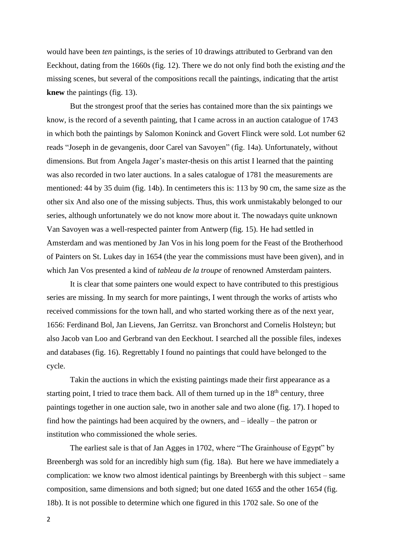would have been *ten* paintings, is the series of 10 drawings attributed to Gerbrand van den Eeckhout, dating from the 1660s (fig. 12). There we do not only find both the existing *and* the missing scenes, but several of the compositions recall the paintings, indicating that the artist **knew** the paintings (fig. 13).

But the strongest proof that the series has contained more than the six paintings we know, is the record of a seventh painting, that I came across in an auction catalogue of 1743 in which both the paintings by Salomon Koninck and Govert Flinck were sold. Lot number 62 reads "Joseph in de gevangenis, door Carel van Savoyen" (fig. 14a). Unfortunately, without dimensions. But from Angela Jager's master-thesis on this artist I learned that the painting was also recorded in two later auctions. In a sales catalogue of 1781 the measurements are mentioned: 44 by 35 duim (fig. 14b). In centimeters this is: 113 by 90 cm, the same size as the other six And also one of the missing subjects. Thus, this work unmistakably belonged to our series, although unfortunately we do not know more about it. The nowadays quite unknown Van Savoyen was a well-respected painter from Antwerp (fig. 15). He had settled in Amsterdam and was mentioned by Jan Vos in his long poem for the Feast of the Brotherhood of Painters on St. Lukes day in 1654 (the year the commissions must have been given), and in which Jan Vos presented a kind of *tableau de la troupe* of renowned Amsterdam painters.

It is clear that some painters one would expect to have contributed to this prestigious series are missing. In my search for more paintings, I went through the works of artists who received commissions for the town hall, and who started working there as of the next year, 1656: Ferdinand Bol, Jan Lievens, Jan Gerritsz. van Bronchorst and Cornelis Holsteyn; but also Jacob van Loo and Gerbrand van den Eeckhout. I searched all the possible files, indexes and databases (fig. 16). Regrettably I found no paintings that could have belonged to the cycle.

Takin the auctions in which the existing paintings made their first appearance as a starting point, I tried to trace them back. All of them turned up in the  $18<sup>th</sup>$  century, three paintings together in one auction sale, two in another sale and two alone (fig. 17). I hoped to find how the paintings had been acquired by the owners, and – ideally – the patron or institution who commissioned the whole series.

The earliest sale is that of Jan Agges in 1702, where "The Grainhouse of Egypt" by Breenbergh was sold for an incredibly high sum (fig. 18a). But here we have immediately a complication: we know two almost identical paintings by Breenbergh with this subject – same composition, same dimensions and both signed; but one dated 165*5* and the other 165*4* (fig. 18b). It is not possible to determine which one figured in this 1702 sale. So one of the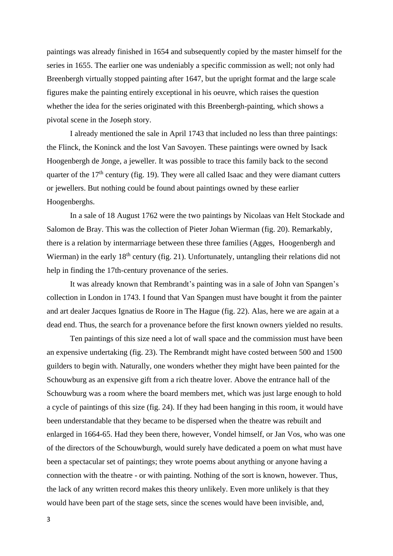paintings was already finished in 1654 and subsequently copied by the master himself for the series in 1655. The earlier one was undeniably a specific commission as well; not only had Breenbergh virtually stopped painting after 1647, but the upright format and the large scale figures make the painting entirely exceptional in his oeuvre, which raises the question whether the idea for the series originated with this Breenbergh-painting, which shows a pivotal scene in the Joseph story.

I already mentioned the sale in April 1743 that included no less than three paintings: the Flinck, the Koninck and the lost Van Savoyen. These paintings were owned by Isack Hoogenbergh de Jonge, a jeweller. It was possible to trace this family back to the second quarter of the  $17<sup>th</sup>$  century (fig. 19). They were all called Isaac and they were diamant cutters or jewellers. But nothing could be found about paintings owned by these earlier Hoogenberghs.

In a sale of 18 August 1762 were the two paintings by Nicolaas van Helt Stockade and Salomon de Bray. This was the collection of Pieter Johan Wierman (fig. 20). Remarkably, there is a relation by intermarriage between these three families (Agges, Hoogenbergh and Wierman) in the early 18<sup>th</sup> century (fig. 21). Unfortunately, untangling their relations did not help in finding the 17th-century provenance of the series.

It was already known that Rembrandt's painting was in a sale of John van Spangen's collection in London in 1743. I found that Van Spangen must have bought it from the painter and art dealer Jacques Ignatius de Roore in The Hague (fig. 22). Alas, here we are again at a dead end. Thus, the search for a provenance before the first known owners yielded no results.

Ten paintings of this size need a lot of wall space and the commission must have been an expensive undertaking (fig. 23). The Rembrandt might have costed between 500 and 1500 guilders to begin with. Naturally, one wonders whether they might have been painted for the Schouwburg as an expensive gift from a rich theatre lover. Above the entrance hall of the Schouwburg was a room where the board members met, which was just large enough to hold a cycle of paintings of this size (fig. 24). If they had been hanging in this room, it would have been understandable that they became to be dispersed when the theatre was rebuilt and enlarged in 1664-65. Had they been there, however, Vondel himself, or Jan Vos, who was one of the directors of the Schouwburgh, would surely have dedicated a poem on what must have been a spectacular set of paintings; they wrote poems about anything or anyone having a connection with the theatre - or with painting. Nothing of the sort is known, however. Thus, the lack of any written record makes this theory unlikely. Even more unlikely is that they would have been part of the stage sets, since the scenes would have been invisible, and,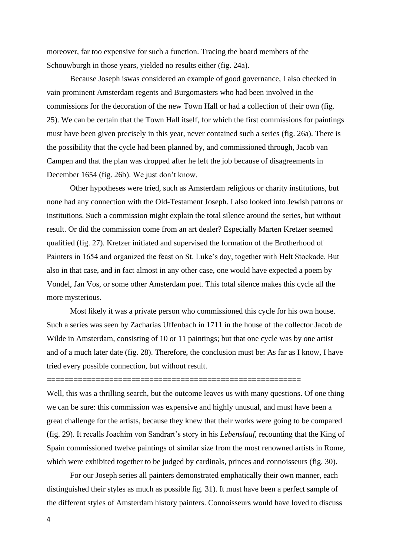moreover, far too expensive for such a function. Tracing the board members of the Schouwburgh in those years, yielded no results either (fig. 24a).

Because Joseph iswas considered an example of good governance, I also checked in vain prominent Amsterdam regents and Burgomasters who had been involved in the commissions for the decoration of the new Town Hall or had a collection of their own (fig. 25). We can be certain that the Town Hall itself, for which the first commissions for paintings must have been given precisely in this year, never contained such a series (fig. 26a). There is the possibility that the cycle had been planned by, and commissioned through, Jacob van Campen and that the plan was dropped after he left the job because of disagreements in December 1654 (fig. 26b). We just don't know.

Other hypotheses were tried, such as Amsterdam religious or charity institutions, but none had any connection with the Old-Testament Joseph. I also looked into Jewish patrons or institutions. Such a commission might explain the total silence around the series, but without result. Or did the commission come from an art dealer? Especially Marten Kretzer seemed qualified (fig. 27). Kretzer initiated and supervised the formation of the Brotherhood of Painters in 1654 and organized the feast on St. Luke's day, together with Helt Stockade. But also in that case, and in fact almost in any other case, one would have expected a poem by Vondel, Jan Vos, or some other Amsterdam poet. This total silence makes this cycle all the more mysterious.

Most likely it was a private person who commissioned this cycle for his own house. Such a series was seen by Zacharias Uffenbach in 1711 in the house of the collector Jacob de Wilde in Amsterdam, consisting of 10 or 11 paintings; but that one cycle was by one artist and of a much later date (fig. 28). Therefore, the conclusion must be: As far as I know, I have tried every possible connection, but without result.

=========================================================

Well, this was a thrilling search, but the outcome leaves us with many questions. Of one thing we can be sure: this commission was expensive and highly unusual, and must have been a great challenge for the artists, because they knew that their works were going to be compared (fig. 29). It recalls Joachim von Sandrart's story in his *Lebenslauf*, recounting that the King of Spain commissioned twelve paintings of similar size from the most renowned artists in Rome, which were exhibited together to be judged by cardinals, princes and connoisseurs (fig. 30).

For our Joseph series all painters demonstrated emphatically their own manner, each distinguished their styles as much as possible fig. 31). It must have been a perfect sample of the different styles of Amsterdam history painters. Connoisseurs would have loved to discuss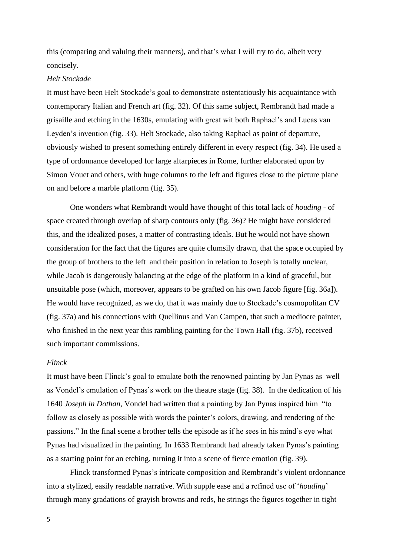this (comparing and valuing their manners), and that's what I will try to do, albeit very concisely.

## *Helt Stockade*

It must have been Helt Stockade's goal to demonstrate ostentatiously his acquaintance with contemporary Italian and French art (fig. 32). Of this same subject, Rembrandt had made a grisaille and etching in the 1630s, emulating with great wit both Raphael's and Lucas van Leyden's invention (fig. 33). Helt Stockade, also taking Raphael as point of departure, obviously wished to present something entirely different in every respect (fig. 34). He used a type of ordonnance developed for large altarpieces in Rome, further elaborated upon by Simon Vouet and others, with huge columns to the left and figures close to the picture plane on and before a marble platform (fig. 35).

One wonders what Rembrandt would have thought of this total lack of *houding* - of space created through overlap of sharp contours only (fig. 36)? He might have considered this, and the idealized poses, a matter of contrasting ideals. But he would not have shown consideration for the fact that the figures are quite clumsily drawn, that the space occupied by the group of brothers to the left and their position in relation to Joseph is totally unclear, while Jacob is dangerously balancing at the edge of the platform in a kind of graceful, but unsuitable pose (which, moreover, appears to be grafted on his own Jacob figure [fig. 36a]). He would have recognized, as we do, that it was mainly due to Stockade's cosmopolitan CV (fig. 37a) and his connections with Quellinus and Van Campen, that such a mediocre painter, who finished in the next year this rambling painting for the Town Hall (fig. 37b), received such important commissions.

## *Flinck*

It must have been Flinck's goal to emulate both the renowned painting by Jan Pynas as well as Vondel's emulation of Pynas's work on the theatre stage (fig. 38). In the dedication of his 1640 *Joseph in Dothan*, Vondel had written that a painting by Jan Pynas inspired him "to follow as closely as possible with words the painter's colors, drawing, and rendering of the passions." In the final scene a brother tells the episode as if he sees in his mind's eye what Pynas had visualized in the painting. In 1633 Rembrandt had already taken Pynas's painting as a starting point for an etching, turning it into a scene of fierce emotion (fig. 39).

Flinck transformed Pynas's intricate composition and Rembrandt's violent ordonnance into a stylized, easily readable narrative. With supple ease and a refined use of '*houding*' through many gradations of grayish browns and reds, he strings the figures together in tight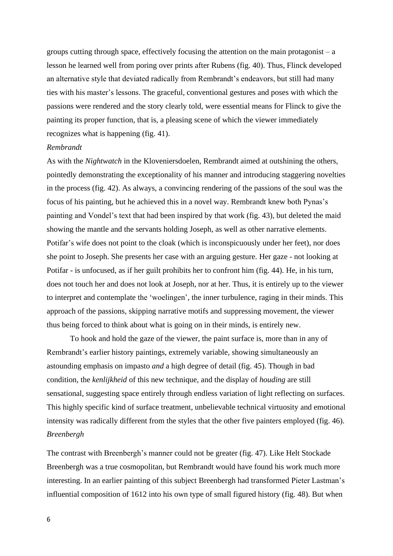groups cutting through space, effectively focusing the attention on the main protagonist  $-a$ lesson he learned well from poring over prints after Rubens (fig. 40). Thus, Flinck developed an alternative style that deviated radically from Rembrandt's endeavors, but still had many ties with his master's lessons. The graceful, conventional gestures and poses with which the passions were rendered and the story clearly told, were essential means for Flinck to give the painting its proper function, that is, a pleasing scene of which the viewer immediately recognizes what is happening (fig. 41).

## *Rembrandt*

As with the *Nightwatch* in the Kloveniersdoelen, Rembrandt aimed at outshining the others, pointedly demonstrating the exceptionality of his manner and introducing staggering novelties in the process (fig. 42). As always, a convincing rendering of the passions of the soul was the focus of his painting, but he achieved this in a novel way. Rembrandt knew both Pynas's painting and Vondel's text that had been inspired by that work (fig. 43), but deleted the maid showing the mantle and the servants holding Joseph, as well as other narrative elements. Potifar's wife does not point to the cloak (which is inconspicuously under her feet), nor does she point to Joseph. She presents her case with an arguing gesture. Her gaze - not looking at Potifar - is unfocused, as if her guilt prohibits her to confront him (fig. 44). He, in his turn, does not touch her and does not look at Joseph, nor at her. Thus, it is entirely up to the viewer to interpret and contemplate the 'woelingen', the inner turbulence, raging in their minds. This approach of the passions, skipping narrative motifs and suppressing movement, the viewer thus being forced to think about what is going on in their minds, is entirely new.

To hook and hold the gaze of the viewer, the paint surface is, more than in any of Rembrandt's earlier history paintings, extremely variable, showing simultaneously an astounding emphasis on impasto *and* a high degree of detail (fig. 45). Though in bad condition, the *kenlijkheid* of this new technique, and the display of *houding* are still sensational, suggesting space entirely through endless variation of light reflecting on surfaces. This highly specific kind of surface treatment, unbelievable technical virtuosity and emotional intensity was radically different from the styles that the other five painters employed (fig. 46). *Breenbergh*

The contrast with Breenbergh's manner could not be greater (fig. 47). Like Helt Stockade Breenbergh was a true cosmopolitan, but Rembrandt would have found his work much more interesting. In an earlier painting of this subject Breenbergh had transformed Pieter Lastman's influential composition of 1612 into his own type of small figured history (fig. 48). But when